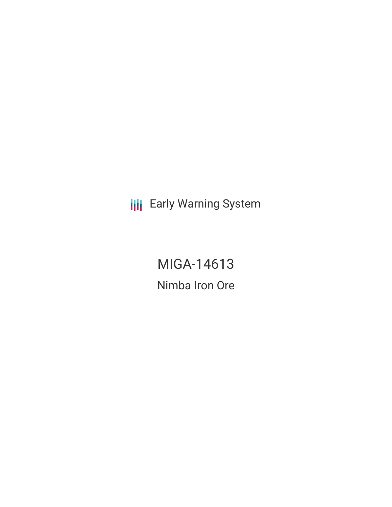**III** Early Warning System

MIGA-14613 Nimba Iron Ore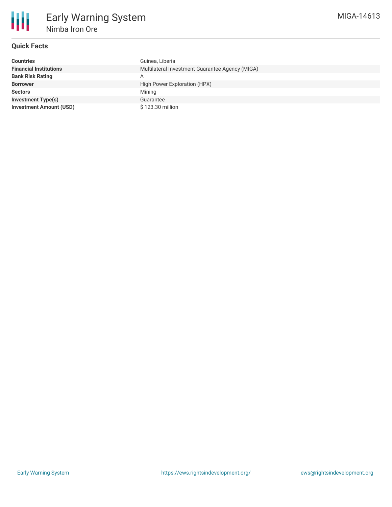

# **Quick Facts**

| <b>Countries</b>               | Guinea, Liberia                                 |
|--------------------------------|-------------------------------------------------|
| <b>Financial Institutions</b>  | Multilateral Investment Guarantee Agency (MIGA) |
| <b>Bank Risk Rating</b>        | A                                               |
| <b>Borrower</b>                | High Power Exploration (HPX)                    |
| <b>Sectors</b>                 | Mining                                          |
| <b>Investment Type(s)</b>      | Guarantee                                       |
| <b>Investment Amount (USD)</b> | \$123.30 million                                |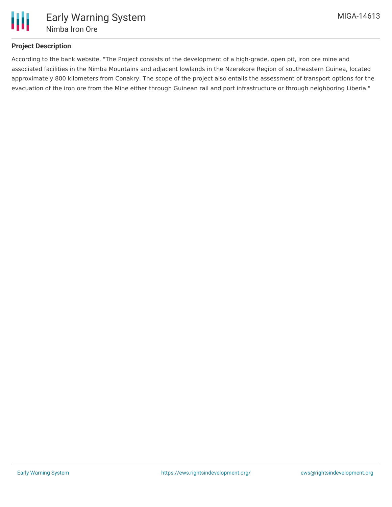

## **Project Description**

According to the bank website, "The Project consists of the development of a high-grade, open pit, iron ore mine and associated facilities in the Nimba Mountains and adjacent lowlands in the Nzerekore Region of southeastern Guinea, located approximately 800 kilometers from Conakry. The scope of the project also entails the assessment of transport options for the evacuation of the iron ore from the Mine either through Guinean rail and port infrastructure or through neighboring Liberia."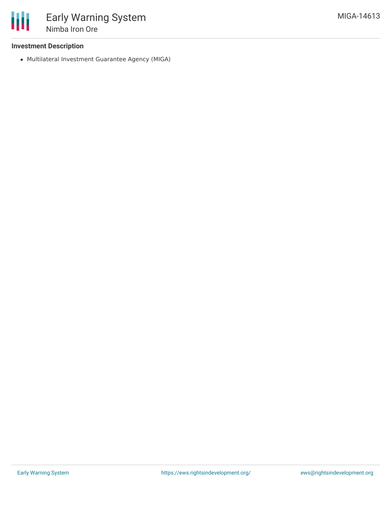

### **Investment Description**

Multilateral Investment Guarantee Agency (MIGA)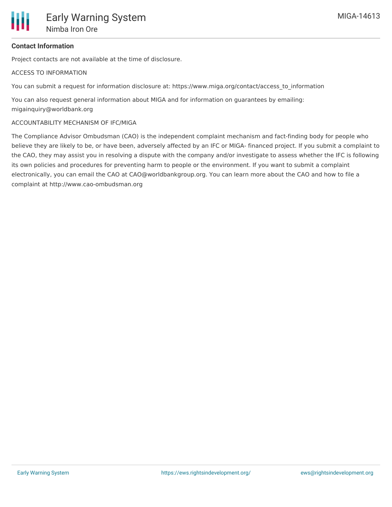## **Contact Information**

Project contacts are not available at the time of disclosure.

#### ACCESS TO INFORMATION

You can submit a request for information disclosure at: https://www.miga.org/contact/access to information

You can also request general information about MIGA and for information on guarantees by emailing: migainquiry@worldbank.org

#### ACCOUNTABILITY MECHANISM OF IFC/MIGA

The Compliance Advisor Ombudsman (CAO) is the independent complaint mechanism and fact-finding body for people who believe they are likely to be, or have been, adversely affected by an IFC or MIGA- financed project. If you submit a complaint to the CAO, they may assist you in resolving a dispute with the company and/or investigate to assess whether the IFC is following its own policies and procedures for preventing harm to people or the environment. If you want to submit a complaint electronically, you can email the CAO at CAO@worldbankgroup.org. You can learn more about the CAO and how to file a complaint at http://www.cao-ombudsman.org